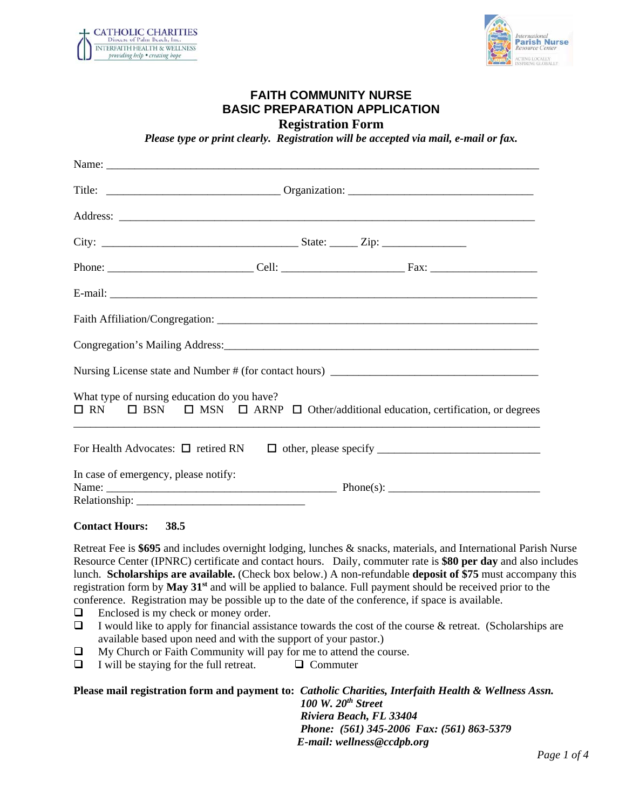



## **FAITH COMMUNITY NURSE BASIC PREPARATION APPLICATION Registration Form**

*Please type or print clearly. Registration will be accepted via mail, e-mail or fax.* 

|                                             | Nursing License state and Number # (for contact hours) __________________________                        |
|---------------------------------------------|----------------------------------------------------------------------------------------------------------|
| What type of nursing education do you have? | $\Box$ RN $\Box$ BSN $\Box$ MSN $\Box$ ARNP $\Box$ Other/additional education, certification, or degrees |
|                                             |                                                                                                          |
| In case of emergency, please notify:        |                                                                                                          |

#### **Contact Hours: 38.5**

Retreat Fee is **\$695** and includes overnight lodging, lunches & snacks, materials, and International Parish Nurse Resource Center (IPNRC) certificate and contact hours. Daily, commuter rate is **\$80 per day** and also includes lunch. **Scholarships are available.** (Check box below.) A non-refundable **deposit of \$75** must accompany this registration form by **May 31st** and will be applied to balance. Full payment should be received prior to the conference. Registration may be possible up to the date of the conference, if space is available.

- □ Enclosed is my check or money order.
- $\Box$  I would like to apply for financial assistance towards the cost of the course & retreat. (Scholarships are available based upon need and with the support of your pastor.)
- $\Box$  My Church or Faith Community will pay for me to attend the course.
- $\Box$  I will be staying for the full retreat.  $\Box$  Commuter

**Please mail registration form and payment to:** *Catholic Charities, Interfaith Health & Wellness Assn. 100 W. 20th Street Riviera Beach, FL 33404 Phone: (561) 345-2006 Fax: (561) 863-5379 E-mail: wellness@ccdpb.org*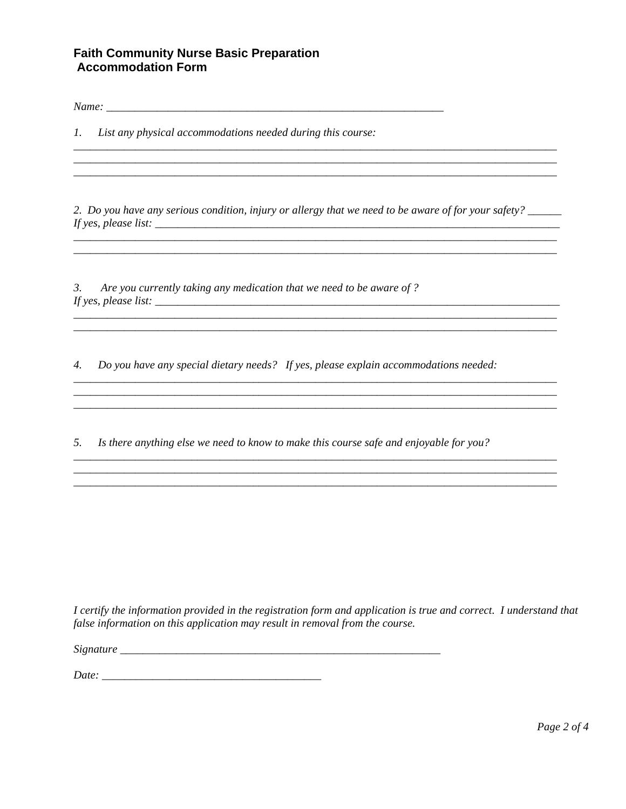## **Faith Community Nurse Basic Preparation Accommodation Form**

1. List any physical accommodations needed during this course:

2. Do you have any serious condition, injury or allergy that we need to be aware of for your safety? \_\_\_\_\_\_ 

 $3.$ Are you currently taking any medication that we need to be aware of? If yes, please list:  $\frac{1}{2}$  is the set of the set of the set of the set of the set of the set of the set of the set of the set of the set of the set of the set of the set of the set of the set of the set of the set of

4. Do you have any special dietary needs? If yes, please explain accommodations needed:

5. Is there anything else we need to know to make this course safe and enjoyable for you?

I certify the information provided in the registration form and application is true and correct. I understand that false information on this application may result in removal from the course.

Date: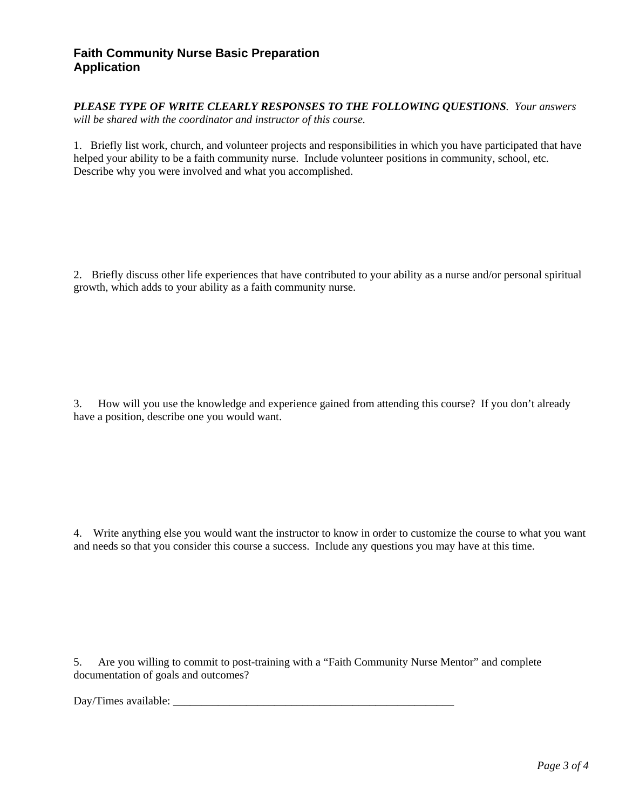## **Faith Community Nurse Basic Preparation Application**

*PLEASE TYPE OF WRITE CLEARLY RESPONSES TO THE FOLLOWING QUESTIONS. Your answers will be shared with the coordinator and instructor of this course.* 

1.Briefly list work, church, and volunteer projects and responsibilities in which you have participated that have helped your ability to be a faith community nurse. Include volunteer positions in community, school, etc. Describe why you were involved and what you accomplished.

2. Briefly discuss other life experiences that have contributed to your ability as a nurse and/or personal spiritual growth, which adds to your ability as a faith community nurse.

3. How will you use the knowledge and experience gained from attending this course? If you don't already have a position, describe one you would want.

4. Write anything else you would want the instructor to know in order to customize the course to what you want and needs so that you consider this course a success. Include any questions you may have at this time.

5. Are you willing to commit to post-training with a "Faith Community Nurse Mentor" and complete documentation of goals and outcomes?

Day/Times available: \_\_\_\_\_\_\_\_\_\_\_\_\_\_\_\_\_\_\_\_\_\_\_\_\_\_\_\_\_\_\_\_\_\_\_\_\_\_\_\_\_\_\_\_\_\_\_\_\_\_